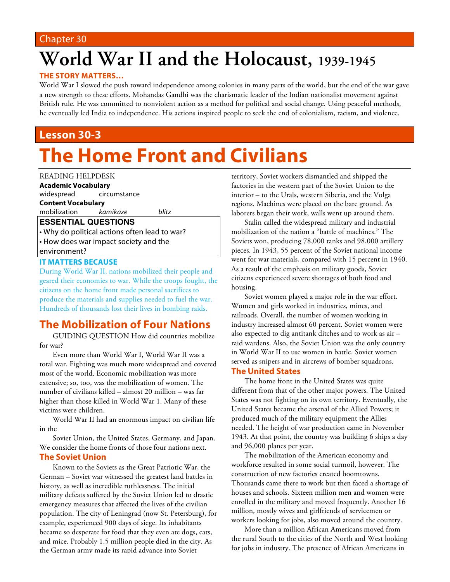#### Chapter 30

# **World War II and the Holocaust, 1939-1945**

#### **THE STORY MATTERS…**

World War I slowed the push toward independence among colonies in many parts of the world, but the end of the war gave a new strength to these efforts. Mohandas Gandhi was the charismatic leader of the Indian nationalist movement against British rule. He was committed to nonviolent action as a method for political and social change. Using peaceful methods, he eventually led India to independence. His actions inspired people to seek the end of colonialism, racism, and violence.

### **Lesson 30-3**

# **The Home Front and Civilians**

#### READING HELPDESK

**Academic Vocabulary** widespread circumstance

**Content Vocabulary**

mobilization *kamikaze blitz*

#### **ESSENTIAL QUESTIONS**

• Why do political actions often lead to war? • How does war impact society and the environment?

#### **IT MATTERS BECAUSE**

During World War II, nations mobilized their people and geared their economies to war. While the troops fought, the citizens on the home front made personal sacrifices to produce the materials and supplies needed to fuel the war. Hundreds of thousands lost their lives in bombing raids.

### **The Mobilization of Four Nations**

GUIDING QUESTION How did countries mobilize for war?

Even more than World War I, World War II was a total war. Fighting was much more widespread and covered most of the world. Economic mobilization was more extensive; so, too, was the mobilization of women. The number of civilians killed – almost 20 million – was far higher than those killed in World War 1. Many of these victims were children.

World War II had an enormous impact on civilian life in the

Soviet Union, the United States, Germany, and Japan. We consider the home fronts of those four nations next.

#### **The Soviet Union**

Known to the Soviets as the Great Patriotic War, the German – Soviet war witnessed the greatest land battles in history, as well as incredible ruthlessness. The initial military defeats suffered by the Soviet Union led to drastic emergency measures that affected the lives of the civilian population. The city of Leningrad (now St. Petersburg), for example, experienced 900 days of siege. Its inhabitants became so desperate for food that they even ate dogs, cats, and mice. Probably 1.5 million people died in the city. As the German army made its rapid advance into Soviet

territory, Soviet workers dismantled and shipped the factories in the western part of the Soviet Union to the interior – to the Urals, western Siberia, and the Volga regions. Machines were placed on the bare ground. As laborers began their work, walls went up around them.

Stalin called the widespread military and industrial mobilization of the nation a "battle of machines." The Soviets won, producing 78,000 tanks and 98,000 artillery pieces. In 1943, 55 percent of the Soviet national income went for war materials, compared with 15 percent in 1940. As a result of the emphasis on military goods, Soviet citizens experienced severe shortages of both food and housing.

Soviet women played a major role in the war effort. Women and girls worked in industries, mines, and railroads. Overall, the number of women working in industry increased almost 60 percent. Soviet women were also expected to dig antitank ditches and to work as air – raid wardens. Also, the Soviet Union was the only country in World War II to use women in battle. Soviet women served as snipers and in aircrews of bomber squadrons.

#### **The United States**

The home front in the United States was quite different from that of the other major powers. The United States was not fighting on its own territory. Eventually, the United States became the arsenal of the Allied Powers; it produced much of the military equipment the Allies needed. The height of war production came in November 1943. At that point, the country was building 6 ships a day and 96,000 planes per year.

The mobilization of the American economy and workforce resulted in some social turmoil, however. The construction of new factories created boomtowns. Thousands came there to work but then faced a shortage of houses and schools. Sixteen million men and women were enrolled in the military and moved frequently. Another 16 million, mostly wives and girlfriends of servicemen or workers looking for jobs, also moved around the country.

More than a million African Americans moved from the rural South to the cities of the North and West looking for jobs in industry. The presence of African Americans in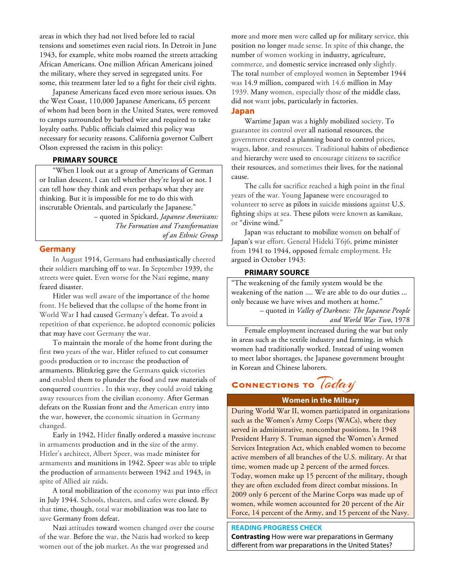areas in which they had not lived before led to racial tensions and sometimes even racial riots. In Detroit in June 1943, for example, white mobs roamed the streets attacking African Americans. One million African Americans joined the military, where they served in segregated units. For some, this treatment later led to a fight for their civil rights.

Japanese Americans faced even more serious issues. On the West Coast, 110,000 Japanese Americans, 65 percent of whom had been born in the United States, were removed to camps surrounded by barbed wire and required to take loyalty oaths. Public officials claimed this policy was necessary for security reasons. California governor Culbert Olson expressed the racism in this policy:

#### **PRIMARY SOURCE**

"When I look out at a group of Americans of German or Italian descent, I can tell whether they're loyal or not. I can tell how they think and even perhaps what they are thinking. But it is impossible for me to do this with inscrutable Orientals, and particularly the Japanese."

> – quoted in Spickard, *Japanese Americans: The Formation and Transformation of an Ethnic Group*

#### **Germany**

In August 1914, Germans had enthusiastically cheered their soldiers marching off to war. In September 1939, the streets were quiet. Even worse for the Nazi regime, many feared disaster.

Hitler was well aware of the importance of the home front. He believed that the collapse of the home front in World War I had caused Germany's defeat. To avoid a repetition of that experience, he adopted economic policies that may have cost Germany the war.

To maintain the morale of the home front during the first two years of the war, Hitler refused to cut consumer goods production or to increase the production of armaments. Blitzkrieg gave the Germans quick victories and enabled them to plunder the food and raw materials of conquered countries . In this way, they could avoid taking away resources from the civilian economy. After German defeats on the Russian front and the American entry into the war, however, the economic situation in Germany changed.

Early in 1942, Hitler finally ordered a massive increase in armaments production and in the size of the army. Hitler's architect, Albert Speer, was made minister for armaments and munitions in 1942. Speer was able to triple the production of armaments between 1942 and 1943, in spite of Allied air raids.

A total mobilization of the economy was put into effect in July 1944. Schools, theaters, and cafes were closed. By that time, though, total war mobilization was too late to save Germany from defeat.

Nazi attitudes toward women changed over the course of the war. Before the war, the Nazis had worked to keep women out of the job market. As the war progressed and

more and more men were called up for military service, this position no longer made sense. In spite of this change, the number of women working in industry, agriculture, commerce, and domestic service increased only slightly. The total number of employed women in September 1944 was 14.9 million, compared with 14.6 million in May 1939. Many women, especially those of the middle class, did not want jobs, particularly in factories. **Japan**

Wartime Japan was a highly mobilized society. To guarantee its control over all national resources, the government created a planning board to control prices, wages, labor, and resources. Traditional habits of obedience and hierarchy were used to encourage citizens to sacrifice their resources, and sometimes their lives, for the national cause.

The calls for sacrifice reached a high point in the final years of the war. Young Japanese were encouraged to volunteer to serve as pilots in suicide missions against U.S. fighting ships at sea. These pilots were known as kamikaze, or "divine wind."

Japan was reluctant to mobilize women on behalf of Japan's war effort. General Hideki T6j6, prime minister from 1941 to 1944, opposed female employment. He argued in October 1943:

#### **PRIMARY SOURCE**

"The weakening of the family system would be the weakening of the nation .... We are able to do our duties ... only because we have wives and mothers at home."

– quoted in *Valley of Darkness: The Japanese People and World War Two*, 1978

Female employment increased during the war but only in areas such as the textile industry and farming, in which women had traditionally worked. Instead of using women to meet labor shortages, the Japanese government brought in Korean and Chinese laborers.

# **CONNECTIONS TO** *Coday*

#### **Women in the Miltary**

During World War II, women participated in organizations such as the Women's Army Corps (WACs), where they served in administrative, noncombat positions. In 1948 President Harry S. Truman signed the Women's Armed Services Integration Act, which enabled women to become active members of all branches of the U.S. military. At that time, women made up 2 percent of the armed forces. Today, women make up 15 percent of the military, though they are often excluded from direct combat missions. In 2009 only 6 percent of the Marine Corps was made up of women, while women accounted for 20 percent of the Air Force, 14 percent of the Army, and 15 percent of the Navy.

#### **READING PROGRESS CHECK**

**Contrasting** How were war preparations in Germany different from war preparations in the United States?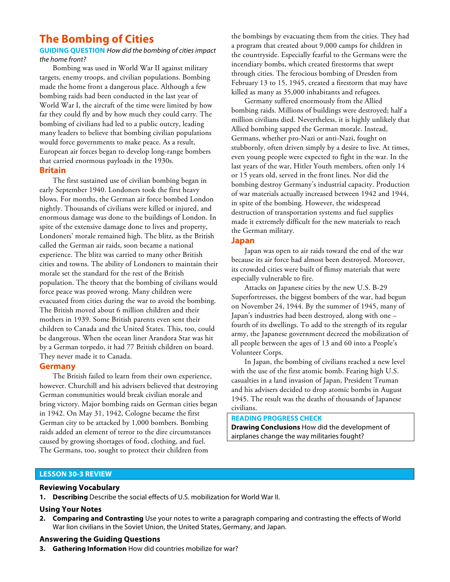## **The Bombing of Cities**

#### **GUIDING QUESTION** *How did the bombing of cities impact the home front?*

Bombing was used in World War II against military targets, enemy troops, and civilian populations. Bombing made the home front a dangerous place. Although a few bombing raids had been conducted in the last year of World War I, the aircraft of the time were limited by how far they could fly and by how much they could carry. The bombing of civilians had led to a public outcry, leading many leaders to believe that bombing civilian populations would force governments to make peace. As a result, European air forces began to develop long-range bombers that carried enormous payloads in the 1930s.

#### **Britain**

The first sustained use of civilian bombing began in early September 1940. Londoners took the first heavy blows. For months, the German air force bombed London nightly. Thousands of civilians were killed or injured, and enormous damage was done to the buildings of London. In spite of the extensive damage done to lives and property, Londoners' morale remained high. The blitz, as the British called the German air raids, soon became a national experience. The blitz was carried to many other British cities and towns. The ability of Londoners to maintain their morale set the standard for the rest of the British population. The theory that the bombing of civilians would force peace was proved wrong. Many children were evacuated from cities during the war to avoid the bombing. The British moved about 6 million children and their mothers in 1939. Some British parents even sent their children to Canada and the United States. This, too, could be dangerous. When the ocean liner Arandora Star was hit by a German torpedo, it had 77 British children on board. They never made it to Canada.

#### **Germany**

The British failed to learn from their own experience, however. Churchill and his advisers believed that destroying German communities would break civilian morale and bring victory. Major bombing raids on German cities began in 1942. On May 31, 1942, Cologne became the first German city to be attacked by 1,000 bombers. Bombing raids added an element of terror to the dire circumstances caused by growing shortages of food, clothing, and fuel. The Germans, too, sought to protect their children from

the bombings by evacuating them from the cities. They had a program that created about 9,000 camps for children in the countryside. Especially fearful to the Germans were the incendiary bombs, which created firestorms that swept through cities. The ferocious bombing of Dresden from February 13 to 15, 1945, created a firestorm that may have killed as many as 35,000 inhabitants and refugees.

Germany suffered enormously from the Allied bombing raids. Millions of buildings were destroyed; half a million civilians died. Nevertheless, it is highly unlikely that Allied bombing sapped the German morale. Instead, Germans, whether pro-Nazi or anti-Nazi, fought on stubbornly, often driven simply by a desire to live. At times, even young people were expected to fight in the war. In the last years of the war, Hitler Youth members, often only 14 or 15 years old, served in the front lines. Nor did the bombing destroy Germany's industrial capacity. Production of war materials actually increased between 1942 and 1944, in spite of the bombing. However, the widespread destruction of transportation systems and fuel supplies made it extremely difficult for the new materials to reach the German military.

#### **Japan**

Japan was open to air raids toward the end of the war because its air force had almost been destroyed. Moreover, its crowded cities were built of flimsy materials that were especially vulnerable to fire.

Attacks on Japanese cities by the new U.S. B-29 Superfortresses, the biggest bombers of the war, had begun on November 24, 1944. By the summer of 1945, many of Japan's industries had been destroyed, along with one – fourth of its dwellings. To add to the strength of its regular army, the Japanese government decreed the mobilization of all people between the ages of 13 and 60 into a People's Volunteer Corps.

In Japan, the bombing of civilians reached a new level with the use of the first atomic bomb. Fearing high U.S. casualties in a land invasion of Japan, President Truman and his advisers decided to drop atomic bombs in August 1945. The result was the deaths of thousands of Japanese civilians.

#### **READING PROGRESS CHECK**

**Drawing Conclusions** How did the development of airplanes change the way militaries fought?

#### **LESSON 30-3 REVIEW**

#### **Reviewing Vocabulary**

**1. Describing** Describe the social effects of U.S. mobilization for World War II.

#### **Using Your Notes**

**2. Comparing and Contrasting** Use your notes to write a paragraph comparing and contrasting the effects of World War lion civilians in the Soviet Union, the United States, Germany, and Japan.

#### **Answering the Guiding Questions**

**3. Gathering Information** How did countries mobilize for war?